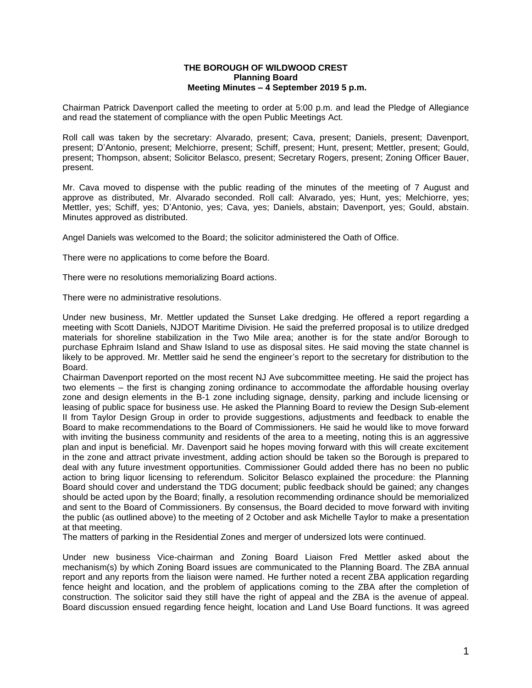## **THE BOROUGH OF WILDWOOD CREST Planning Board Meeting Minutes – 4 September 2019 5 p.m.**

Chairman Patrick Davenport called the meeting to order at 5:00 p.m. and lead the Pledge of Allegiance and read the statement of compliance with the open Public Meetings Act.

Roll call was taken by the secretary: Alvarado, present; Cava, present; Daniels, present; Davenport, present; D'Antonio, present; Melchiorre, present; Schiff, present; Hunt, present; Mettler, present; Gould, present; Thompson, absent; Solicitor Belasco, present; Secretary Rogers, present; Zoning Officer Bauer, present.

Mr. Cava moved to dispense with the public reading of the minutes of the meeting of 7 August and approve as distributed, Mr. Alvarado seconded. Roll call: Alvarado, yes; Hunt, yes; Melchiorre, yes; Mettler, yes; Schiff, yes; D'Antonio, yes; Cava, yes; Daniels, abstain; Davenport, yes; Gould, abstain. Minutes approved as distributed.

Angel Daniels was welcomed to the Board; the solicitor administered the Oath of Office.

There were no applications to come before the Board.

There were no resolutions memorializing Board actions.

There were no administrative resolutions.

Under new business, Mr. Mettler updated the Sunset Lake dredging. He offered a report regarding a meeting with Scott Daniels, NJDOT Maritime Division. He said the preferred proposal is to utilize dredged materials for shoreline stabilization in the Two Mile area; another is for the state and/or Borough to purchase Ephraim Island and Shaw Island to use as disposal sites. He said moving the state channel is likely to be approved. Mr. Mettler said he send the engineer's report to the secretary for distribution to the Board.

Chairman Davenport reported on the most recent NJ Ave subcommittee meeting. He said the project has two elements – the first is changing zoning ordinance to accommodate the affordable housing overlay zone and design elements in the B-1 zone including signage, density, parking and include licensing or leasing of public space for business use. He asked the Planning Board to review the Design Sub-element II from Taylor Design Group in order to provide suggestions, adjustments and feedback to enable the Board to make recommendations to the Board of Commissioners. He said he would like to move forward with inviting the business community and residents of the area to a meeting, noting this is an aggressive plan and input is beneficial. Mr. Davenport said he hopes moving forward with this will create excitement in the zone and attract private investment, adding action should be taken so the Borough is prepared to deal with any future investment opportunities. Commissioner Gould added there has no been no public action to bring liquor licensing to referendum. Solicitor Belasco explained the procedure: the Planning Board should cover and understand the TDG document; public feedback should be gained; any changes should be acted upon by the Board; finally, a resolution recommending ordinance should be memorialized and sent to the Board of Commissioners. By consensus, the Board decided to move forward with inviting the public (as outlined above) to the meeting of 2 October and ask Michelle Taylor to make a presentation at that meeting.

The matters of parking in the Residential Zones and merger of undersized lots were continued.

Under new business Vice-chairman and Zoning Board Liaison Fred Mettler asked about the mechanism(s) by which Zoning Board issues are communicated to the Planning Board. The ZBA annual report and any reports from the liaison were named. He further noted a recent ZBA application regarding fence height and location, and the problem of applications coming to the ZBA after the completion of construction. The solicitor said they still have the right of appeal and the ZBA is the avenue of appeal. Board discussion ensued regarding fence height, location and Land Use Board functions. It was agreed